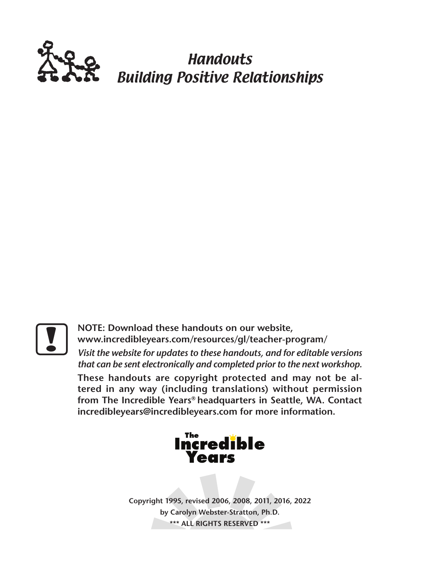

**Handouts** Building Positive Relationships

**Postally and STE: Download these handouts on our website,<br>
<b>Postally and STE: Download these handouts / www.incredibleyears.com/resources/gl/teacher-provide Visit the website for updates to these handouts, and for that ca www.incredibleyears.com/resources/gl/teacher-program/** 

*Visit the website for updates to these handouts, and for editable versions that can be sent electronically and completed prior to the next workshop.*

**These handouts are copyright protected and may not be altered in any way (including translations) without permission from The Incredible Years® headquarters in Seattle, WA. Contact incredibleyears@incredibleyears.com for more information.**



**Copyright 1995, revised 2006, 2008, 2011, 2016, 2022 by Carolyn Webster-Stratton, Ph.D. \*\*\* ALL RIGHTS RESERVED \*\*\***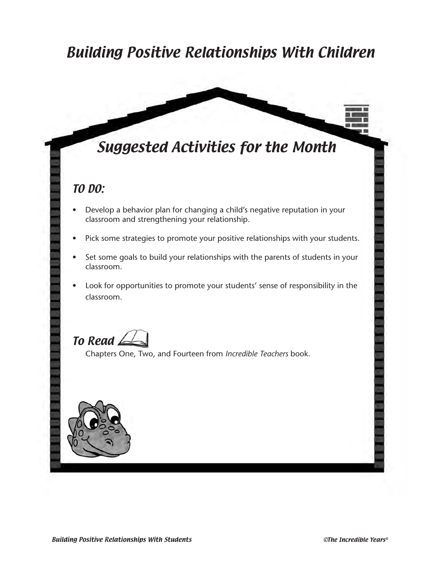## Building Positive Relationships With Children

## Suggested Activities for the Month

### TO DO:

- Develop a behavior plan for changing a child's negative reputation in your classroom and strengthening your relationship.
- Pick some strategies to promote your positive relationships with your students.
- Set some goals to build your relationships with the parents of students in your classroom.
- Look for opportunities to promote your students' sense of responsibility in the classroom.



Chapters One, Two, and Fourteen from *Incredible Teachers* book.

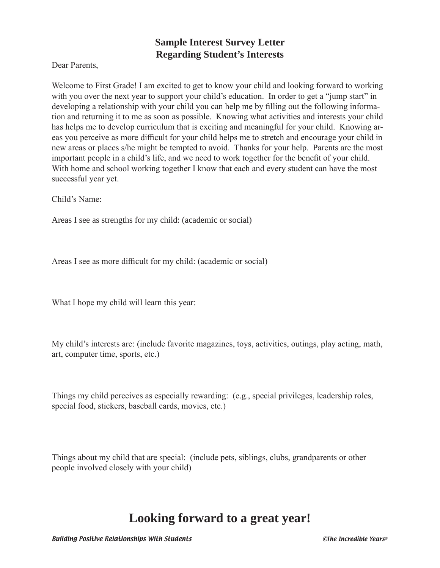### **Sample Interest Survey Letter Regarding Student's Interests**

Dear Parents,

Welcome to First Grade! I am excited to get to know your child and looking forward to working with you over the next year to support your child's education. In order to get a "jump start" in developing a relationship with your child you can help me by filling out the following information and returning it to me as soon as possible. Knowing what activities and interests your child has helps me to develop curriculum that is exciting and meaningful for your child. Knowing areas you perceive as more difficult for your child helps me to stretch and encourage your child in new areas or places s/he might be tempted to avoid. Thanks for your help. Parents are the most important people in a child's life, and we need to work together for the benefit of your child. With home and school working together I know that each and every student can have the most successful year yet.

Child's Name:

Areas I see as strengths for my child: (academic or social)

Areas I see as more difficult for my child: (academic or social)

What I hope my child will learn this year:

My child's interests are: (include favorite magazines, toys, activities, outings, play acting, math, art, computer time, sports, etc.)

Things my child perceives as especially rewarding: (e.g., special privileges, leadership roles, special food, stickers, baseball cards, movies, etc.)

Things about my child that are special: (include pets, siblings, clubs, grandparents or other people involved closely with your child)

## **Looking forward to a great year!**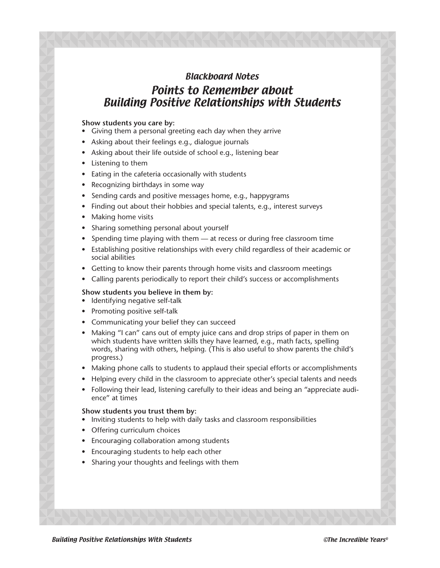### Blackboard Notes Points to Remember about Building Positive Relationships with Students

#### **Show students you care by:**

- Giving them a personal greeting each day when they arrive
- Asking about their feelings e.g., dialogue journals
- Asking about their life outside of school e.g., listening bear
- Listening to them
- Eating in the cafeteria occasionally with students
- Recognizing birthdays in some way
- Sending cards and positive messages home, e.g., happygrams
- Finding out about their hobbies and special talents, e.g., interest surveys
- Making home visits
- Sharing something personal about yourself
- Spending time playing with them at recess or during free classroom time
- Establishing positive relationships with every child regardless of their academic or social abilities
- Getting to know their parents through home visits and classroom meetings
- Calling parents periodically to report their child's success or accomplishments

#### **Show students you believe in them by:**

- Identifying negative self-talk
- Promoting positive self-talk
- Communicating your belief they can succeed
- Making "I can" cans out of empty juice cans and drop strips of paper in them on which students have written skills they have learned, e.g., math facts, spelling words, sharing with others, helping. (This is also useful to show parents the child's progress.)
- Making phone calls to students to applaud their special efforts or accomplishments
- Helping every child in the classroom to appreciate other's special talents and needs
- Following their lead, listening carefully to their ideas and being an "appreciate audience" at times

#### **Show students you trust them by:**

- Inviting students to help with daily tasks and classroom responsibilities
- Offering curriculum choices
- Encouraging collaboration among students
- Encouraging students to help each other
- Sharing your thoughts and feelings with them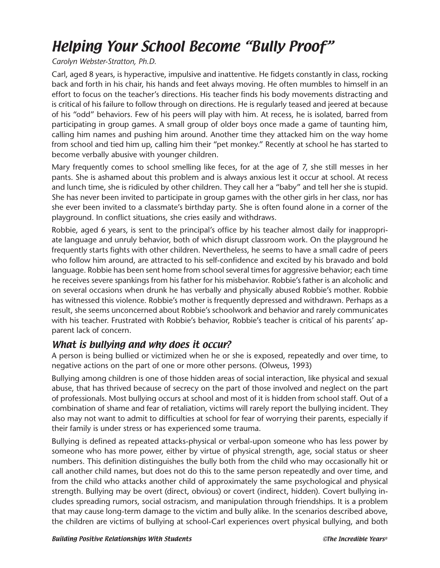# Helping Your School Become "Bully Proof"

*Carolyn Webster-Stratton, Ph.D.* 

Carl, aged 8 years, is hyperactive, impulsive and inattentive. He fidgets constantly in class, rocking back and forth in his chair, his hands and feet always moving. He often mumbles to himself in an effort to focus on the teacher's directions. His teacher finds his body movements distracting and is critical of his failure to follow through on directions. He is regularly teased and jeered at because of his "odd" behaviors. Few of his peers will play with him. At recess, he is isolated, barred from participating in group games. A small group of older boys once made a game of taunting him, calling him names and pushing him around. Another time they attacked him on the way home from school and tied him up, calling him their "pet monkey." Recently at school he has started to become verbally abusive with younger children.

Mary frequently comes to school smelling like feces, for at the age of 7, she still messes in her pants. She is ashamed about this problem and is always anxious lest it occur at school. At recess and lunch time, she is ridiculed by other children. They call her a "baby" and tell her she is stupid. She has never been invited to participate in group games with the other girls in her class, nor has she ever been invited to a classmate's birthday party. She is often found alone in a corner of the playground. In conflict situations, she cries easily and withdraws.

Robbie, aged 6 years, is sent to the principal's office by his teacher almost daily for inappropriate language and unruly behavior, both of which disrupt classroom work. On the playground he frequently starts fights with other children. Nevertheless, he seems to have a small cadre of peers who follow him around, are attracted to his self-confidence and excited by his bravado and bold language. Robbie has been sent home from school several times for aggressive behavior; each time he receives severe spankings from his father for his misbehavior. Robbie's father is an alcoholic and on several occasions when drunk he has verbally and physically abused Robbie's mother. Robbie has witnessed this violence. Robbie's mother is frequently depressed and withdrawn. Perhaps as a result, she seems unconcerned about Robbie's schoolwork and behavior and rarely communicates with his teacher. Frustrated with Robbie's behavior, Robbie's teacher is critical of his parents' apparent lack of concern.

#### What is bullying and why does it occur?

A person is being bullied or victimized when he or she is exposed, repeatedly and over time, to negative actions on the part of one or more other persons. (Olweus, 1993)

Bullying among children is one of those hidden areas of social interaction, like physical and sexual abuse, that has thrived because of secrecy on the part of those involved and neglect on the part of professionals. Most bullying occurs at school and most of it is hidden from school staff. Out of a combination of shame and fear of retaliation, victims will rarely report the bullying incident. They also may not want to admit to difficulties at school for fear of worrying their parents, especially if their family is under stress or has experienced some trauma.

Bullying is defined as repeated attacks-physical or verbal-upon someone who has less power by someone who has more power, either by virtue of physical strength, age, social status or sheer numbers. This definition distinguishes the bully both from the child who may occasionally hit or call another child names, but does not do this to the same person repeatedly and over time, and from the child who attacks another child of approximately the same psychological and physical strength. Bullying may be overt (direct, obvious) or covert (indirect, hidden). Covert bullying includes spreading rumors, social ostracism, and manipulation through friendships. It is a problem that may cause long-term damage to the victim and bully alike. In the scenarios described above, the children are victims of bullying at school-Carl experiences overt physical bullying, and both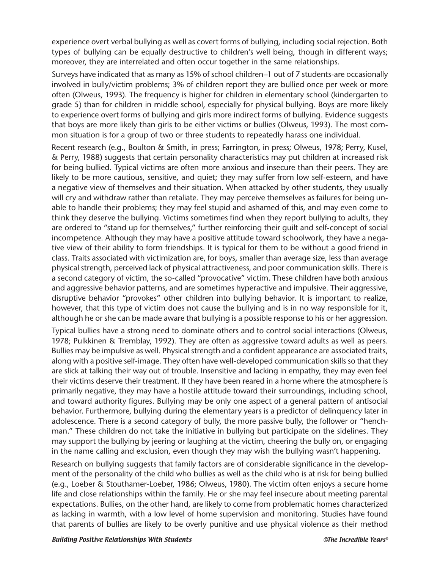experience overt verbal bullying as well as covert forms of bullying, including social rejection. Both types of bullying can be equally destructive to children's well being, though in different ways; moreover, they are interrelated and often occur together in the same relationships.

Surveys have indicated that as many as 15% of school children–1 out of 7 students-are occasionally involved in bully/victim problems; 3% of children report they are bullied once per week or more often (Olweus, 1993). The frequency is higher for children in elementary school (kindergarten to grade 5) than for children in middle school, especially for physical bullying. Boys are more likely to experience overt forms of bullying and girls more indirect forms of bullying. Evidence suggests that boys are more likely than girls to be either victims or bullies (Olweus, 1993). The most common situation is for a group of two or three students to repeatedly harass one individual.

Recent research (e.g., Boulton & Smith, in press; Farrington, in press; Olweus, 1978; Perry, Kusel, & Perry, 1988) suggests that certain personality characteristics may put children at increased risk for being bullied. Typical victims are often more anxious and insecure than their peers. They are likely to be more cautious, sensitive, and quiet; they may suffer from low self-esteem, and have a negative view of themselves and their situation. When attacked by other students, they usually will cry and withdraw rather than retaliate. They may perceive themselves as failures for being unable to handle their problems; they may feel stupid and ashamed of this, and may even come to think they deserve the bullying. Victims sometimes find when they report bullying to adults, they are ordered to "stand up for themselves," further reinforcing their guilt and self-concept of social incompetence. Although they may have a positive attitude toward schoolwork, they have a negative view of their ability to form friendships. It is typical for them to be without a good friend in class. Traits associated with victimization are, for boys, smaller than average size, less than average physical strength, perceived lack of physical attractiveness, and poor communication skills. There is a second category of victim, the so-called "provocative" victim. These children have both anxious and aggressive behavior patterns, and are sometimes hyperactive and impulsive. Their aggressive, disruptive behavior "provokes" other children into bullying behavior. It is important to realize, however, that this type of victim does not cause the bullying and is in no way responsible for it, although he or she can be made aware that bullying is a possible response to his or her aggression.

Typical bullies have a strong need to dominate others and to control social interactions (Olweus, 1978; Pulkkinen & Tremblay, 1992). They are often as aggressive toward adults as well as peers. Bullies may be impulsive as well. Physical strength and a confident appearance are associated traits, along with a positive self-image. They often have well-developed communication skills so that they are slick at talking their way out of trouble. Insensitive and lacking in empathy, they may even feel their victims deserve their treatment. If they have been reared in a home where the atmosphere is primarily negative, they may have a hostile attitude toward their surroundings, including school, and toward authority figures. Bullying may be only one aspect of a general pattern of antisocial behavior. Furthermore, bullying during the elementary years is a predictor of delinquency later in adolescence. There is a second category of bully, the more passive bully, the follower or "henchman." These children do not take the initiative in bullying but participate on the sidelines. They may support the bullying by jeering or laughing at the victim, cheering the bully on, or engaging in the name calling and exclusion, even though they may wish the bullying wasn't happening.

Research on bullying suggests that family factors are of considerable significance in the development of the personality of the child who bullies as well as the child who is at risk for being bullied (e.g., Loeber & Stouthamer-Loeber, 1986; Olweus, 1980). The victim often enjoys a secure home life and close relationships within the family. He or she may feel insecure about meeting parental expectations. Bullies, on the other hand, are likely to come from problematic homes characterized as lacking in warmth, with a low level of home supervision and monitoring. Studies have found that parents of bullies are likely to be overly punitive and use physical violence as their method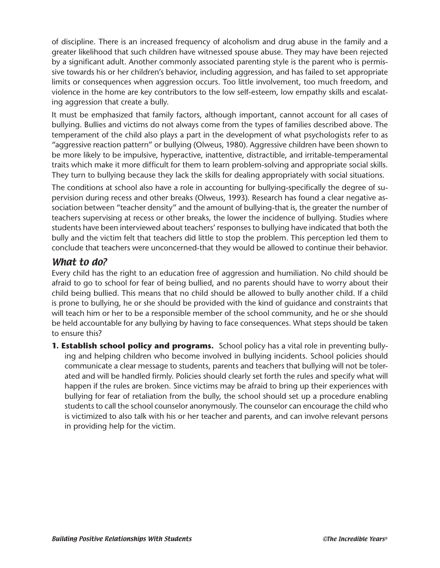of discipline. There is an increased frequency of alcoholism and drug abuse in the family and a greater likelihood that such children have witnessed spouse abuse. They may have been rejected by a significant adult. Another commonly associated parenting style is the parent who is permissive towards his or her children's behavior, including aggression, and has failed to set appropriate limits or consequences when aggression occurs. Too little involvement, too much freedom, and violence in the home are key contributors to the low self-esteem, low empathy skills and escalating aggression that create a bully.

It must be emphasized that family factors, although important, cannot account for all cases of bullying. Bullies and victims do not always come from the types of families described above. The temperament of the child also plays a part in the development of what psychologists refer to as "aggressive reaction pattern" or bullying (Olweus, 1980). Aggressive children have been shown to be more likely to be impulsive, hyperactive, inattentive, distractible, and irritable-temperamental traits which make it more difficult for them to learn problem-solving and appropriate social skills. They turn to bullying because they lack the skills for dealing appropriately with social situations.

The conditions at school also have a role in accounting for bullying-specifically the degree of supervision during recess and other breaks (Olweus, 1993). Research has found a clear negative association between "teacher density" and the amount of bullying-that is, the greater the number of teachers supervising at recess or other breaks, the lower the incidence of bullying. Studies where students have been interviewed about teachers' responses to bullying have indicated that both the bully and the victim felt that teachers did little to stop the problem. This perception led them to conclude that teachers were unconcerned-that they would be allowed to continue their behavior.

#### What to do?

Every child has the right to an education free of aggression and humiliation. No child should be afraid to go to school for fear of being bullied, and no parents should have to worry about their child being bullied. This means that no child should be allowed to bully another child. If a child is prone to bullying, he or she should be provided with the kind of guidance and constraints that will teach him or her to be a responsible member of the school community, and he or she should be held accountable for any bullying by having to face consequences. What steps should be taken to ensure this?

**1. Establish school policy and programs.** School policy has a vital role in preventing bullying and helping children who become involved in bullying incidents. School policies should communicate a clear message to students, parents and teachers that bullying will not be tolerated and will be handled firmly. Policies should clearly set forth the rules and specify what will happen if the rules are broken. Since victims may be afraid to bring up their experiences with bullying for fear of retaliation from the bully, the school should set up a procedure enabling students to call the school counselor anonymously. The counselor can encourage the child who is victimized to also talk with his or her teacher and parents, and can involve relevant persons in providing help for the victim.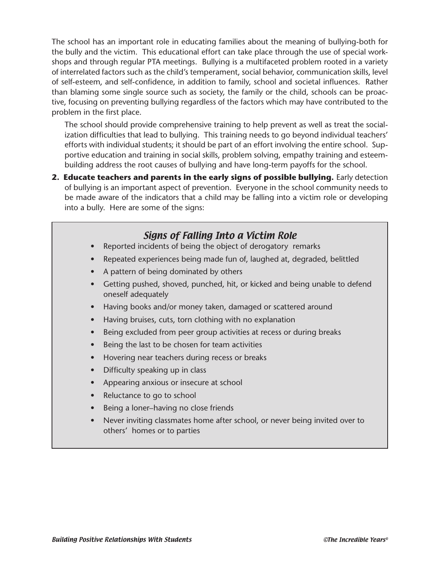The school has an important role in educating families about the meaning of bullying-both for the bully and the victim. This educational effort can take place through the use of special workshops and through regular PTA meetings. Bullying is a multifaceted problem rooted in a variety of interrelated factors such as the child's temperament, social behavior, communication skills, level of self-esteem, and self-confidence, in addition to family, school and societal influences. Rather than blaming some single source such as society, the family or the child, schools can be proactive, focusing on preventing bullying regardless of the factors which may have contributed to the problem in the first place.

The school should provide comprehensive training to help prevent as well as treat the socialization difficulties that lead to bullying. This training needs to go beyond individual teachers' efforts with individual students; it should be part of an effort involving the entire school. Supportive education and training in social skills, problem solving, empathy training and esteembuilding address the root causes of bullying and have long-term payoffs for the school.

**2. Educate teachers and parents in the early signs of possible bullying.** Early detection of bullying is an important aspect of prevention. Everyone in the school community needs to be made aware of the indicators that a child may be falling into a victim role or developing into a bully. Here are some of the signs:

#### Signs of Falling Into a Victim Role

- Reported incidents of being the object of derogatory remarks
- Repeated experiences being made fun of, laughed at, degraded, belittled
- A pattern of being dominated by others
- Getting pushed, shoved, punched, hit, or kicked and being unable to defend oneself adequately
- Having books and/or money taken, damaged or scattered around
- Having bruises, cuts, torn clothing with no explanation
- Being excluded from peer group activities at recess or during breaks
- Being the last to be chosen for team activities
- Hovering near teachers during recess or breaks
- Difficulty speaking up in class
- Appearing anxious or insecure at school
- Reluctance to go to school
- Being a loner–having no close friends
- Never inviting classmates home after school, or never being invited over to others' homes or to parties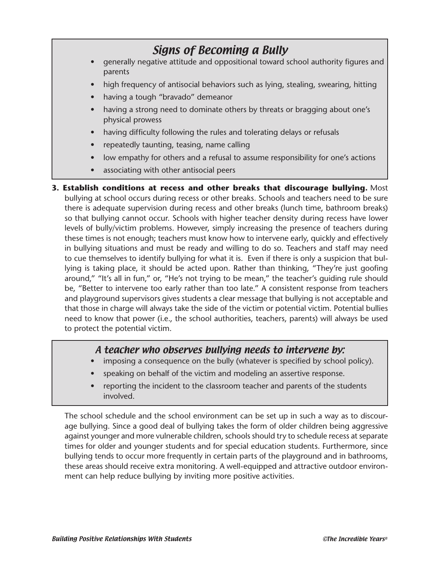### Signs of Becoming a Bully

- generally negative attitude and oppositional toward school authority figures and parents
- high frequency of antisocial behaviors such as lying, stealing, swearing, hitting
- having a tough "bravado" demeanor
- having a strong need to dominate others by threats or bragging about one's physical prowess
- having difficulty following the rules and tolerating delays or refusals
- repeatedly taunting, teasing, name calling
- low empathy for others and a refusal to assume responsibility for one's actions
- associating with other antisocial peers
- **3. Establish conditions at recess and other breaks that discourage bullying.** Most bullying at school occurs during recess or other breaks. Schools and teachers need to be sure there is adequate supervision during recess and other breaks (lunch time, bathroom breaks) so that bullying cannot occur. Schools with higher teacher density during recess have lower levels of bully/victim problems. However, simply increasing the presence of teachers during these times is not enough; teachers must know how to intervene early, quickly and effectively in bullying situations and must be ready and willing to do so. Teachers and staff may need to cue themselves to identify bullying for what it is. Even if there is only a suspicion that bullying is taking place, it should be acted upon. Rather than thinking, "They're just goofing around," "It's all in fun," or, "He's not trying to be mean," the teacher's guiding rule should be, "Better to intervene too early rather than too late." A consistent response from teachers and playground supervisors gives students a clear message that bullying is not acceptable and that those in charge will always take the side of the victim or potential victim. Potential bullies need to know that power (i.e., the school authorities, teachers, parents) will always be used to protect the potential victim.

#### A teacher who observes bullying needs to intervene by:

- imposing a consequence on the bully (whatever is specified by school policy).
- speaking on behalf of the victim and modeling an assertive response.
- reporting the incident to the classroom teacher and parents of the students involved.

The school schedule and the school environment can be set up in such a way as to discourage bullying. Since a good deal of bullying takes the form of older children being aggressive against younger and more vulnerable children, schools should try to schedule recess at separate times for older and younger students and for special education students. Furthermore, since bullying tends to occur more frequently in certain parts of the playground and in bathrooms, these areas should receive extra monitoring. A well-equipped and attractive outdoor environment can help reduce bullying by inviting more positive activities.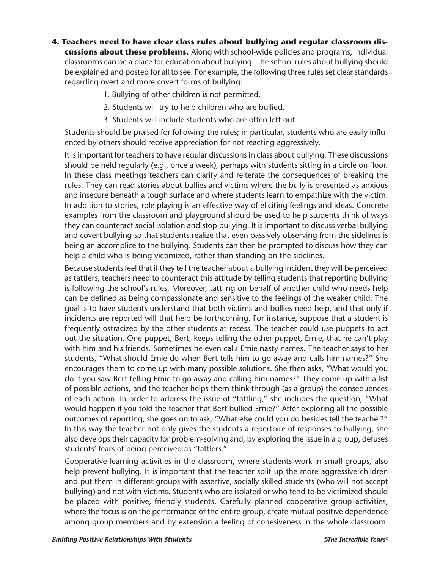- **4. Teachers need to have clear class rules about bullying and regular classroom discussions about these problems.** Along with school-wide policies and programs, individual classrooms can be a place for education about bullying. The school rules about bullying should be explained and posted for all to see. For example, the following three rules set clear standards regarding overt and more covert forms of bullying:
	- 1. Bullying of other children is not permitted.
	- 2. Students will try to help children who are bullied.
	- 3. Students will include students who are often left out.

Students should be praised for following the rules; in particular, students who are easily influenced by others should receive appreciation for not reacting aggressively.

It is important for teachers to have regular discussions in class about bullying. These discussions should be held regularly (e.g., once a week), perhaps with students sitting in a circle on floor. In these class meetings teachers can clarify and reiterate the consequences of breaking the rules. They can read stories about bullies and victims where the bully is presented as anxious and insecure beneath a tough surface and where students learn to empathize with the victim. In addition to stories, role playing is an effective way of eliciting feelings and ideas. Concrete examples from the classroom and playground should be used to help students think of ways they can counteract social isolation and stop bullying. It is important to discuss verbal bullying and covert bullying so that students realize that even passively observing from the sidelines is being an accomplice to the bullying. Students can then be prompted to discuss how they can help a child who is being victimized, rather than standing on the sidelines.

Because students feel that if they tell the teacher about a bullying incident they will be perceived as tattlers, teachers need to counteract this attitude by telling students that reporting bullying is following the school's rules. Moreover, tattling on behalf of another child who needs help can be defined as being compassionate and sensitive to the feelings of the weaker child. The goal is to have students understand that both victims and bullies need help, and that only if incidents are reported will that help be forthcoming. For instance, suppose that a student is frequently ostracized by the other students at recess. The teacher could use puppets to act out the situation. One puppet, Bert, keeps telling the other puppet, Ernie, that he can't play with him and his friends. Sometimes he even calls Ernie nasty names. The teacher says to her students, "What should Ernie do when Bert tells him to go away and calls him names?" She encourages them to come up with many possible solutions. She then asks, "What would you do if you saw Bert telling Ernie to go away and calling him names?" They come up with a list of possible actions, and the teacher helps them think through (as a group) the consequences of each action. In order to address the issue of "tattling," she includes the question, "What would happen if you told the teacher that Bert bullied Ernie?" After exploring all the possible outcomes of reporting, she goes on to ask, "What else could you do besides tell the teacher?" In this way the teacher not only gives the students a repertoire of responses to bullying, she also develops their capacity for problem-solving and, by exploring the issue in a group, defuses students' fears of being perceived as "tattlers."

Cooperative learning activities in the classroom, where students work in small groups, also help prevent bullying. It is important that the teacher split up the more aggressive children and put them in different groups with assertive, socially skilled students (who will not accept bullying) and not with victims. Students who are isolated or who tend to be victimized should be placed with positive, friendly students. Carefully planned cooperative group activities, where the focus is on the performance of the entire group, create mutual positive dependence among group members and by extension a feeling of cohesiveness in the whole classroom.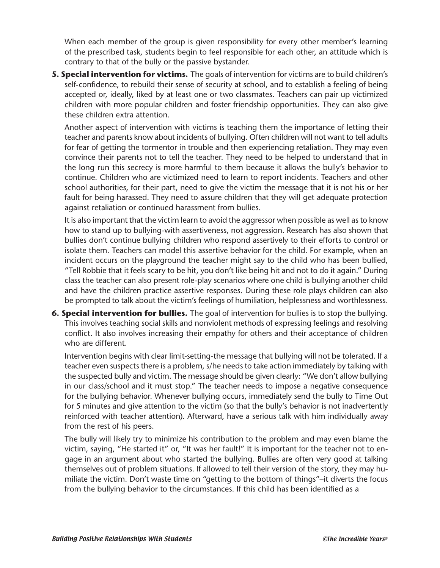When each member of the group is given responsibility for every other member's learning of the prescribed task, students begin to feel responsible for each other, an attitude which is contrary to that of the bully or the passive bystander.

**5. Special intervention for victims.** The goals of intervention for victims are to build children's self-confidence, to rebuild their sense of security at school, and to establish a feeling of being accepted or, ideally, liked by at least one or two classmates. Teachers can pair up victimized children with more popular children and foster friendship opportunities. They can also give these children extra attention.

Another aspect of intervention with victims is teaching them the importance of letting their teacher and parents know about incidents of bullying. Often children will not want to tell adults for fear of getting the tormentor in trouble and then experiencing retaliation. They may even convince their parents not to tell the teacher. They need to be helped to understand that in the long run this secrecy is more harmful to them because it allows the bully's behavior to continue. Children who are victimized need to learn to report incidents. Teachers and other school authorities, for their part, need to give the victim the message that it is not his or her fault for being harassed. They need to assure children that they will get adequate protection against retaliation or continued harassment from bullies.

It is also important that the victim learn to avoid the aggressor when possible as well as to know how to stand up to bullying-with assertiveness, not aggression. Research has also shown that bullies don't continue bullying children who respond assertively to their efforts to control or isolate them. Teachers can model this assertive behavior for the child. For example, when an incident occurs on the playground the teacher might say to the child who has been bullied, "Tell Robbie that it feels scary to be hit, you don't like being hit and not to do it again." During class the teacher can also present role-play scenarios where one child is bullying another child and have the children practice assertive responses. During these role plays children can also be prompted to talk about the victim's feelings of humiliation, helplessness and worthlessness.

**6. Special intervention for bullies.** The goal of intervention for bullies is to stop the bullying. This involves teaching social skills and nonviolent methods of expressing feelings and resolving conflict. It also involves increasing their empathy for others and their acceptance of children who are different.

Intervention begins with clear limit-setting-the message that bullying will not be tolerated. If a teacher even suspects there is a problem, s/he needs to take action immediately by talking with the suspected bully and victim. The message should be given clearly: "We don't allow bullying in our class/school and it must stop." The teacher needs to impose a negative consequence for the bullying behavior. Whenever bullying occurs, immediately send the bully to Time Out for 5 minutes and give attention to the victim (so that the bully's behavior is not inadvertently reinforced with teacher attention). Afterward, have a serious talk with him individually away from the rest of his peers.

The bully will likely try to minimize his contribution to the problem and may even blame the victim, saying, "He started it" or, "It was her fault!" It is important for the teacher not to engage in an argument about who started the bullying. Bullies are often very good at talking themselves out of problem situations. If allowed to tell their version of the story, they may humiliate the victim. Don't waste time on "getting to the bottom of things"–it diverts the focus from the bullying behavior to the circumstances. If this child has been identified as a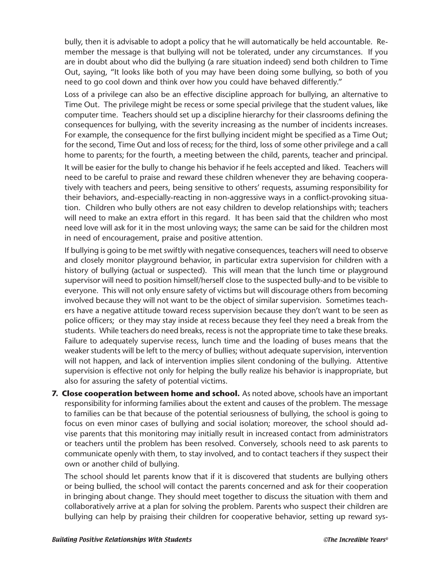bully, then it is advisable to adopt a policy that he will automatically be held accountable. Remember the message is that bullying will not be tolerated, under any circumstances. If you are in doubt about who did the bullying (a rare situation indeed) send both children to Time Out, saying, "It looks like both of you may have been doing some bullying, so both of you need to go cool down and think over how you could have behaved differently."

Loss of a privilege can also be an effective discipline approach for bullying, an alternative to Time Out. The privilege might be recess or some special privilege that the student values, like computer time. Teachers should set up a discipline hierarchy for their classrooms defining the consequences for bullying, with the severity increasing as the number of incidents increases. For example, the consequence for the first bullying incident might be specified as a Time Out; for the second, Time Out and loss of recess; for the third, loss of some other privilege and a call home to parents; for the fourth, a meeting between the child, parents, teacher and principal.

It will be easier for the bully to change his behavior if he feels accepted and liked. Teachers will need to be careful to praise and reward these children whenever they are behaving cooperatively with teachers and peers, being sensitive to others' requests, assuming responsibility for their behaviors, and-especially-reacting in non-aggressive ways in a conflict-provoking situation. Children who bully others are not easy children to develop relationships with; teachers will need to make an extra effort in this regard. It has been said that the children who most need love will ask for it in the most unloving ways; the same can be said for the children most in need of encouragement, praise and positive attention.

If bullying is going to be met swiftly with negative consequences, teachers will need to observe and closely monitor playground behavior, in particular extra supervision for children with a history of bullying (actual or suspected). This will mean that the lunch time or playground supervisor will need to position himself/herself close to the suspected bully-and to be visible to everyone. This will not only ensure safety of victims but will discourage others from becoming involved because they will not want to be the object of similar supervision. Sometimes teachers have a negative attitude toward recess supervision because they don't want to be seen as police officers; or they may stay inside at recess because they feel they need a break from the students. While teachers do need breaks, recess is not the appropriate time to take these breaks. Failure to adequately supervise recess, lunch time and the loading of buses means that the weaker students will be left to the mercy of bullies; without adequate supervision, intervention will not happen, and lack of intervention implies silent condoning of the bullying. Attentive supervision is effective not only for helping the bully realize his behavior is inappropriate, but also for assuring the safety of potential victims.

**7. Close cooperation between home and school.** As noted above, schools have an important responsibility for informing families about the extent and causes of the problem. The message to families can be that because of the potential seriousness of bullying, the school is going to focus on even minor cases of bullying and social isolation; moreover, the school should advise parents that this monitoring may initially result in increased contact from administrators or teachers until the problem has been resolved. Conversely, schools need to ask parents to communicate openly with them, to stay involved, and to contact teachers if they suspect their own or another child of bullying.

The school should let parents know that if it is discovered that students are bullying others or being bullied, the school will contact the parents concerned and ask for their cooperation in bringing about change. They should meet together to discuss the situation with them and collaboratively arrive at a plan for solving the problem. Parents who suspect their children are bullying can help by praising their children for cooperative behavior, setting up reward sys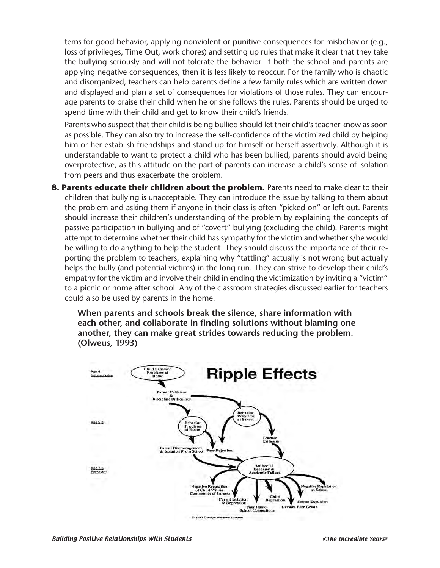tems for good behavior, applying nonviolent or punitive consequences for misbehavior (e.g., loss of privileges, Time Out, work chores) and setting up rules that make it clear that they take the bullying seriously and will not tolerate the behavior. If both the school and parents are applying negative consequences, then it is less likely to reoccur. For the family who is chaotic and disorganized, teachers can help parents define a few family rules which are written down and displayed and plan a set of consequences for violations of those rules. They can encourage parents to praise their child when he or she follows the rules. Parents should be urged to spend time with their child and get to know their child's friends.

Parents who suspect that their child is being bullied should let their child's teacher know as soon as possible. They can also try to increase the self-confidence of the victimized child by helping him or her establish friendships and stand up for himself or herself assertively. Although it is understandable to want to protect a child who has been bullied, parents should avoid being overprotective, as this attitude on the part of parents can increase a child's sense of isolation from peers and thus exacerbate the problem.

**8. Parents educate their children about the problem.** Parents need to make clear to their children that bullying is unacceptable. They can introduce the issue by talking to them about the problem and asking them if anyone in their class is often "picked on" or left out. Parents should increase their children's understanding of the problem by explaining the concepts of passive participation in bullying and of "covert" bullying (excluding the child). Parents might attempt to determine whether their child has sympathy for the victim and whether s/he would be willing to do anything to help the student. They should discuss the importance of their reporting the problem to teachers, explaining why "tattling" actually is not wrong but actually helps the bully (and potential victims) in the long run. They can strive to develop their child's empathy for the victim and involve their child in ending the victimization by inviting a "victim" to a picnic or home after school. Any of the classroom strategies discussed earlier for teachers could also be used by parents in the home.

**When parents and schools break the silence, share information with each other, and collaborate in finding solutions without blaming one another, they can make great strides towards reducing the problem. (Olweus, 1993)** 

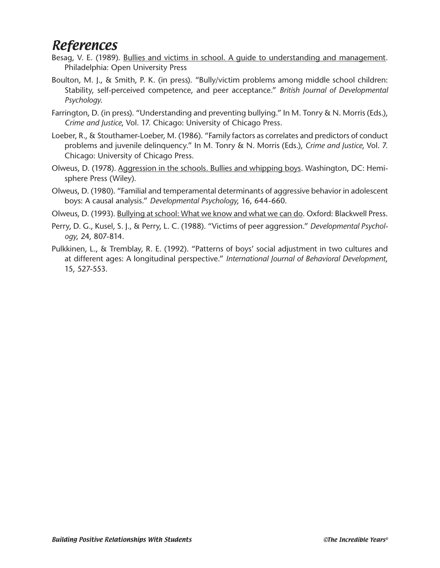## References

- Besag, V. E. (1989). Bullies and victims in school. A quide to understanding and management. Philadelphia: Open University Press
- Boulton, M. J., & Smith, P. K. (in press). "Bully/victim problems among middle school children: Stability, self-perceived competence, and peer acceptance." *British Journal of Developmental Psychology*.
- Farrington, D. (in press). "Understanding and preventing bullying." In M. Tonry & N. Morris (Eds.), *Crime and Justice*, Vol. 17. Chicago: University of Chicago Press.
- Loeber, R., & Stouthamer-Loeber, M. (1986). "Family factors as correlates and predictors of conduct problems and juvenile delinquency." In M. Tonry & N. Morris (Eds.), *Crime and Justice*, Vol. 7. Chicago: University of Chicago Press.
- Olweus, D. (1978). Aggression in the schools. Bullies and whipping boys. Washington, DC: Hemisphere Press (Wiley).
- Olweus, D. (1980). "Familial and temperamental determinants of aggressive behavior in adolescent boys: A causal analysis." *Developmental Psychology*, 16, 644-660.
- Olweus, D. (1993). Bullying at school: What we know and what we can do. Oxford: Blackwell Press.
- Perry, D. G., Kusel, S. J., & Perry, L. C. (1988). "Victims of peer aggression." *Developmental Psychology*, 24, 807-814.
- Pulkkinen, L., & Tremblay, R. E. (1992). "Patterns of boys' social adjustment in two cultures and at different ages: A longitudinal perspective." *International Journal of Behavioral Development*, 15, 527-553.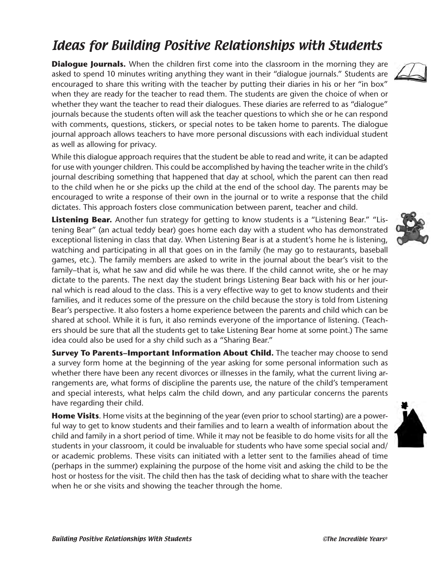## Ideas for Building Positive Relationships with Students

**Dialogue Journals.** When the children first come into the classroom in the morning they are asked to spend 10 minutes writing anything they want in their "dialogue journals." Students are encouraged to share this writing with the teacher by putting their diaries in his or her "in box" when they are ready for the teacher to read them. The students are given the choice of when or whether they want the teacher to read their dialogues. These diaries are referred to as "dialogue" journals because the students often will ask the teacher questions to which she or he can respond with comments, questions, stickers, or special notes to be taken home to parents. The dialogue journal approach allows teachers to have more personal discussions with each individual student as well as allowing for privacy.

While this dialogue approach requires that the student be able to read and write, it can be adapted for use with younger children. This could be accomplished by having the teacher write in the child's journal describing something that happened that day at school, which the parent can then read to the child when he or she picks up the child at the end of the school day. The parents may be encouraged to write a response of their own in the journal or to write a response that the child dictates. This approach fosters close communication between parent, teacher and child.

**Listening Bear.** Another fun strategy for getting to know students is a "Listening Bear." "Listening Bear" (an actual teddy bear) goes home each day with a student who has demonstrated exceptional listening in class that day. When Listening Bear is at a student's home he is listening, watching and participating in all that goes on in the family (he may go to restaurants, baseball games, etc.). The family members are asked to write in the journal about the bear's visit to the family–that is, what he saw and did while he was there. If the child cannot write, she or he may dictate to the parents. The next day the student brings Listening Bear back with his or her journal which is read aloud to the class. This is a very effective way to get to know students and their families, and it reduces some of the pressure on the child because the story is told from Listening Bear's perspective. It also fosters a home experience between the parents and child which can be shared at school. While it is fun, it also reminds everyone of the importance of listening. (Teachers should be sure that all the students get to take Listening Bear home at some point.) The same idea could also be used for a shy child such as a "Sharing Bear."

**Survey To Parents–Important Information About Child.** The teacher may choose to send a survey form home at the beginning of the year asking for some personal information such as whether there have been any recent divorces or illnesses in the family, what the current living arrangements are, what forms of discipline the parents use, the nature of the child's temperament and special interests, what helps calm the child down, and any particular concerns the parents have regarding their child.

**Home Visits.** Home visits at the beginning of the year (even prior to school starting) are a powerful way to get to know students and their families and to learn a wealth of information about the child and family in a short period of time. While it may not be feasible to do home visits for all the students in your classroom, it could be invaluable for students who have some special social and/ or academic problems. These visits can initiated with a letter sent to the families ahead of time (perhaps in the summer) explaining the purpose of the home visit and asking the child to be the host or hostess for the visit. The child then has the task of deciding what to share with the teacher when he or she visits and showing the teacher through the home.





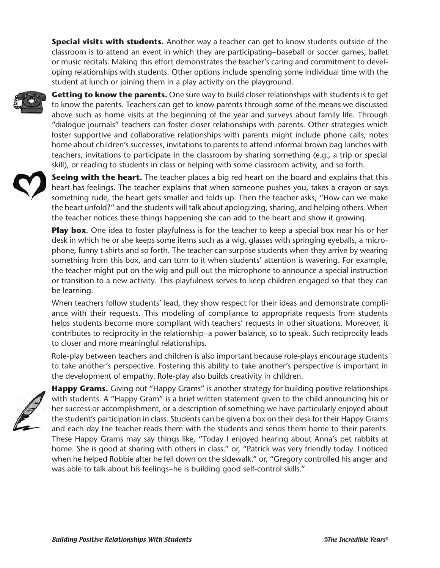**Special visits with students.** Another way a teacher can get to know students outside of the classroom is to attend an event in which they are participating–baseball or soccer games, ballet or music recitals. Making this effort demonstrates the teacher's caring and commitment to developing relationships with students. Other options include spending some individual time with the student at lunch or joining them in a play activity on the playground.



**Getting to know the parents.** One sure way to build closer relationships with students is to get to know the parents. Teachers can get to know parents through some of the means we discussed above such as home visits at the beginning of the year and surveys about family life. Through "dialogue journals" teachers can foster closer relationships with parents. Other strategies which foster supportive and collaborative relationships with parents might include phone calls, notes home about children's successes, invitations to parents to attend informal brown bag lunches with teachers, invitations to participate in the classroom by sharing something (e.g., a trip or special skill), or reading to students in class or helping with some classroom activity, and so forth.



**Seeing with the heart.** The teacher places a big red heart on the board and explains that this heart has feelings. The teacher explains that when someone pushes you, takes a crayon or says something rude, the heart gets smaller and folds up. Then the teacher asks, "How can we make the heart unfold?" and the students will talk about apologizing, sharing, and helping others. When the teacher notices these things happening she can add to the heart and show it growing.

**Play box**. One idea to foster playfulness is for the teacher to keep a special box near his or her desk in which he or she keeps some items such as a wig, glasses with springing eyeballs, a microphone, funny t-shirts and so forth. The teacher can surprise students when they arrive by wearing something from this box, and can turn to it when students' attention is wavering. For example, the teacher might put on the wig and pull out the microphone to announce a special instruction or transition to a new activity. This playfulness serves to keep children engaged so that they can be learning.

When teachers follow students' lead, they show respect for their ideas and demonstrate compliance with their requests. This modeling of compliance to appropriate requests from students helps students become more compliant with teachers' requests in other situations. Moreover, it contributes to reciprocity in the relationship–a power balance, so to speak. Such reciprocity leads to closer and more meaningful relationships.

Role-play between teachers and children is also important because role-plays encourage students to take another's perspective. Fostering this ability to take another's perspective is important in the development of empathy. Role-play also builds creativity in children.



**Happy Grams.** Giving out "Happy Grams" is another strategy for building positive relationships with students. A "Happy Gram" is a brief written statement given to the child announcing his or her success or accomplishment, or a description of something we have particularly enjoyed about the student's participation in class. Students can be given a box on their desk for their Happy Grams and each day the teacher reads them with the students and sends them home to their parents. These Happy Grams may say things like, "Today I enjoyed hearing about Anna's pet rabbits at home. She is good at sharing with others in class." or, "Patrick was very friendly today. I noticed when he helped Robbie after he fell down on the sidewalk." or, "Gregory controlled his anger and was able to talk about his feelings–he is building good self-control skills."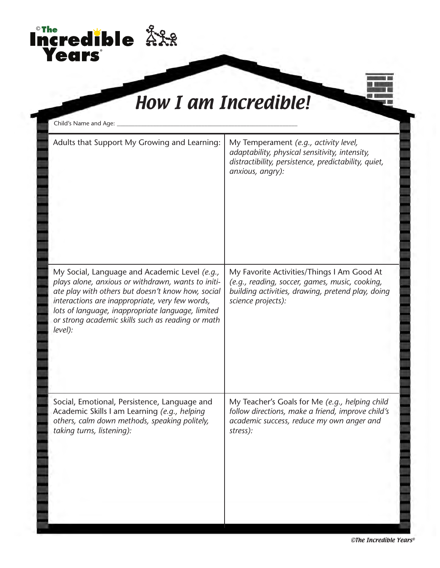# Adults that Support My Growing and Learning: My Temperament *(e.g., activity level, adaptability, physical sensitivity, intensity, distractibility, persistence, predictability, quiet, anxious, angry):* My Social, Language and Academic Level *(e.g., plays alone, anxious or withdrawn, wants to initiate play with others but doesn't know how, social interactions are inappropriate, very few words, lots of language, inappropriate language, limited or strong academic skills such as reading or math level):* My Favorite Activities/Things I Am Good At *(e.g., reading, soccer, games, music, cooking, building activities, drawing, pretend play, doing science projects):* Social, Emotional, Persistence, Language and Academic Skills I am Learning *(e.g., helping others, calm down methods, speaking politely, taking turns, listening):* My Teacher's Goals for Me *(e.g., helping child follow directions, make a friend, improve child's academic success, reduce my own anger and stress):* How I am Incredible! Child's Name and Age:

©

® **Parents, teachers, and children training series**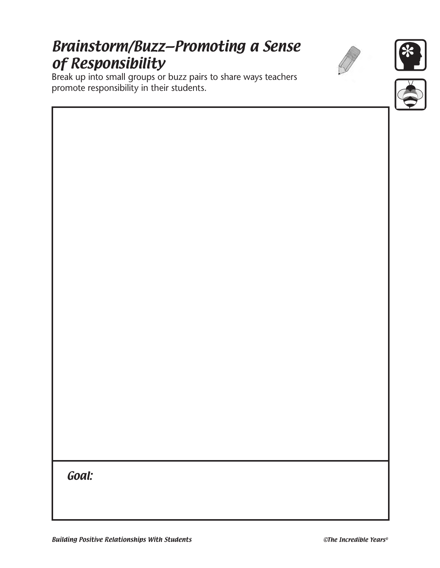## Brainstorm/Buzz—Promoting a Sense of Responsibility

Break up into small groups or buzz pairs to share ways teachers promote responsibility in their students.



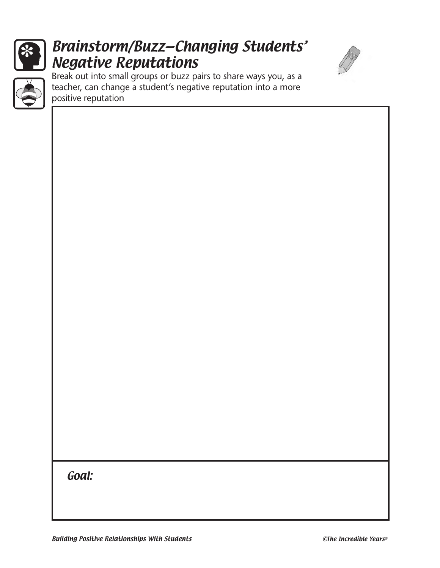

## Brainstorm/Buzz—Changing Students' Negative Reputations



Break out into small groups or buzz pairs to share ways you, as a teacher, can change a student's negative reputation into a more positive reputation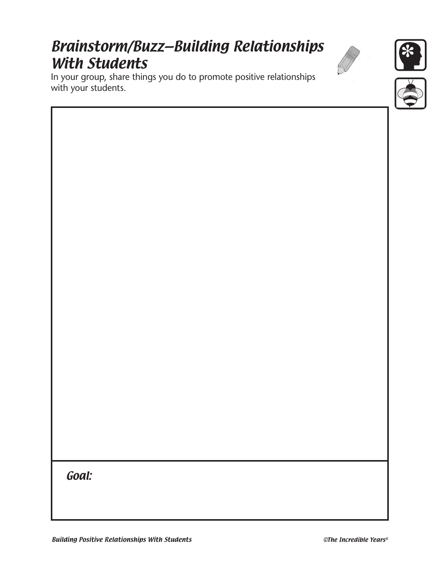## Brainstorm/Buzz—Building Relationships With Students

In your group, share things you do to promote positive relationships with your students.





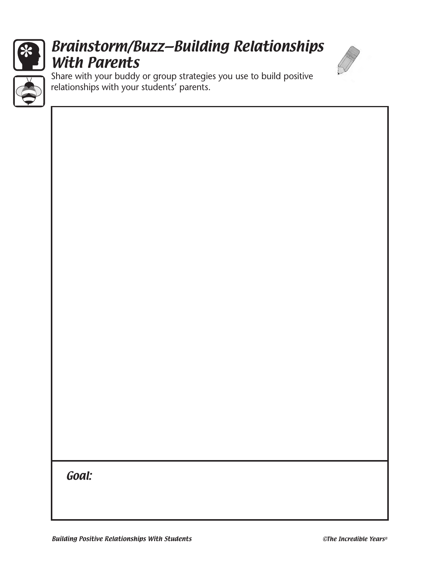

## Brainstorm/Buzz—Building Relationships With Parents



Share with your buddy or group strategies you use to build positive relationships with your students' parents.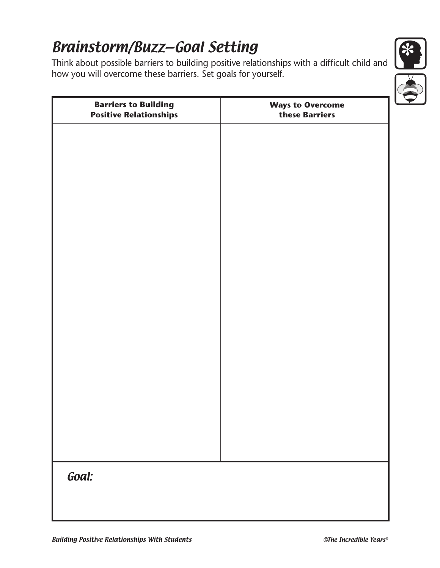## Brainstorm/Buzz—Goal Setting

Think about possible barriers to building positive relationships with a difficult child and how you will overcome these barriers. Set goals for yourself.



| <b>Barriers to Building</b><br><b>Positive Relationships</b> | <b>Ways to Overcome</b><br>these Barriers |
|--------------------------------------------------------------|-------------------------------------------|
|                                                              |                                           |
|                                                              |                                           |
|                                                              |                                           |
|                                                              |                                           |
|                                                              |                                           |
|                                                              |                                           |
|                                                              |                                           |
|                                                              |                                           |
|                                                              |                                           |
|                                                              |                                           |
|                                                              |                                           |
|                                                              |                                           |
|                                                              |                                           |
| Goal:                                                        |                                           |
|                                                              |                                           |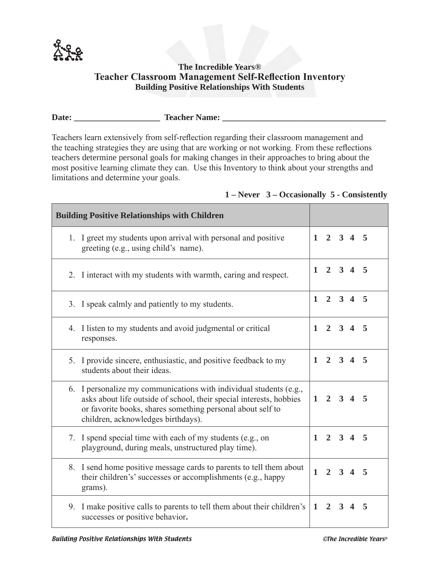

#### **The Incredible Years® Teacher Classroom Management Self-Reflection Inventory Building Positive Relationships With Students**

**Date: \_\_\_\_\_\_\_\_\_\_\_\_\_\_\_\_\_\_\_\_ Teacher Name: \_\_\_\_\_\_\_\_\_\_\_\_\_\_\_\_\_\_\_\_\_\_\_\_\_\_\_\_\_\_\_\_\_\_\_\_\_\_**

Teachers learn extensively from self-reflection regarding their classroom management and the teaching strategies they are using that are working or not working. From these reflections teachers determine personal goals for making changes in their approaches to bring about the most positive learning climate they can. Use this Inventory to think about your strengths and limitations and determine your goals.

| <b>Building Positive Relationships with Children</b>                                                                                                                                                                                          |              |                             |                     |                  |   |
|-----------------------------------------------------------------------------------------------------------------------------------------------------------------------------------------------------------------------------------------------|--------------|-----------------------------|---------------------|------------------|---|
| 1. I greet my students upon arrival with personal and positive<br>greeting (e.g., using child's name).                                                                                                                                        |              | $1 \t2 \t3 \t4 \t5$         |                     |                  |   |
| 2. I interact with my students with warmth, caring and respect.                                                                                                                                                                               | $\mathbf{1}$ | $\overline{2}$              | $3\quad 4$          |                  | 5 |
| 3. I speak calmly and patiently to my students.                                                                                                                                                                                               | $\mathbf{1}$ |                             | $2 \quad 3 \quad 4$ |                  | 5 |
| 4. I listen to my students and avoid judgmental or critical<br>responses.                                                                                                                                                                     |              | $1 \quad 2 \quad 3 \quad 4$ |                     |                  | 5 |
| 5. I provide sincere, enthusiastic, and positive feedback to my<br>students about their ideas.                                                                                                                                                |              | $1 \t2 \t3 \t4 \t5$         |                     |                  |   |
| 6. I personalize my communications with individual students (e.g.,<br>asks about life outside of school, their special interests, hobbies<br>or favorite books, shares something personal about self to<br>children, acknowledges birthdays). |              | $1 \t2 \t3 \t4$             |                     |                  | 5 |
| 7. I spend special time with each of my students (e.g., on<br>playground, during meals, unstructured play time).                                                                                                                              | 1            |                             |                     | $2 \t3 \t4 \t5$  |   |
| 8. I send home positive message cards to parents to tell them about<br>their children's' successes or accomplishments (e.g., happy<br>grams).                                                                                                 | $\mathbf{1}$ | $2^{\circ}$                 | $3\quad 4$          |                  | 5 |
| 9. I make positive calls to parents to tell them about their children's<br>successes or positive behavior.                                                                                                                                    | $\mathbf{1}$ | $\overline{2}$              | 3 <sup>1</sup>      | $\boldsymbol{4}$ | 5 |

#### **1 – Never 3 – Occasionally 5 - Consistently**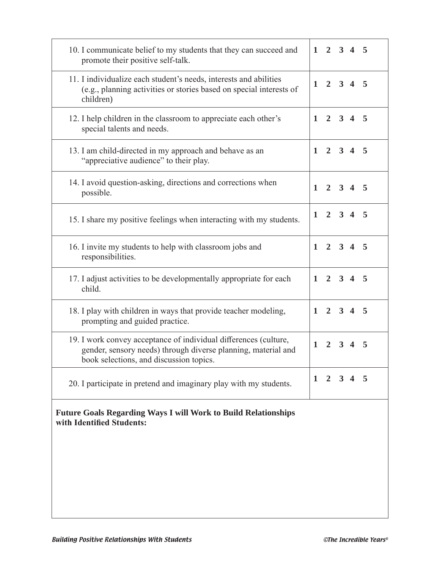| 10. I communicate belief to my students that they can succeed and<br>promote their positive self-talk.                                                                       |              | $1 \t2 \t3 \t4 \t5$ |                     |                             |      |
|------------------------------------------------------------------------------------------------------------------------------------------------------------------------------|--------------|---------------------|---------------------|-----------------------------|------|
| 11. I individualize each student's needs, interests and abilities<br>(e.g., planning activities or stories based on special interests of<br>children)                        |              | $1 \t2 \t3 \t4 \t5$ |                     |                             |      |
| 12. I help children in the classroom to appreciate each other's<br>special talents and needs.                                                                                | $\mathbf{1}$ |                     |                     | $2 \t3 \t4 \t5$             |      |
| 13. I am child-directed in my approach and behave as an<br>"appreciative audience" to their play.                                                                            | $\mathbf{1}$ |                     | $2 \quad 3 \quad 4$ |                             | $-5$ |
| 14. I avoid question-asking, directions and corrections when<br>possible.                                                                                                    | $\mathbf{1}$ |                     | $2 \quad 3 \quad 4$ |                             | 5    |
| 15. I share my positive feelings when interacting with my students.                                                                                                          | $\mathbf{1}$ |                     | $2 \quad 3 \quad 4$ |                             | - 5  |
| 16. I invite my students to help with classroom jobs and<br>responsibilities.                                                                                                |              | $1 \t2 \t3 \t4 \t5$ |                     |                             |      |
| 17. I adjust activities to be developmentally appropriate for each<br>child.                                                                                                 | $\mathbf 1$  |                     |                     | $2 \quad 3 \quad 4 \quad 5$ |      |
| 18. I play with children in ways that provide teacher modeling,<br>prompting and guided practice.                                                                            |              | $1 \t2 \t3 \t4 \t5$ |                     |                             |      |
| 19. I work convey acceptance of individual differences (culture,<br>gender, sensory needs) through diverse planning, material and<br>book selections, and discussion topics. | $\mathbf{1}$ |                     | $2 \quad 3 \quad 4$ |                             | 5    |
| 20. I participate in pretend and imaginary play with my students.                                                                                                            | 1            | $\mathbf{2}$        | $3\quad 4$          |                             | 5    |
| <b>Future Goals Regarding Ways I will Work to Build Relationships</b><br>with Identified Students:                                                                           |              |                     |                     |                             |      |